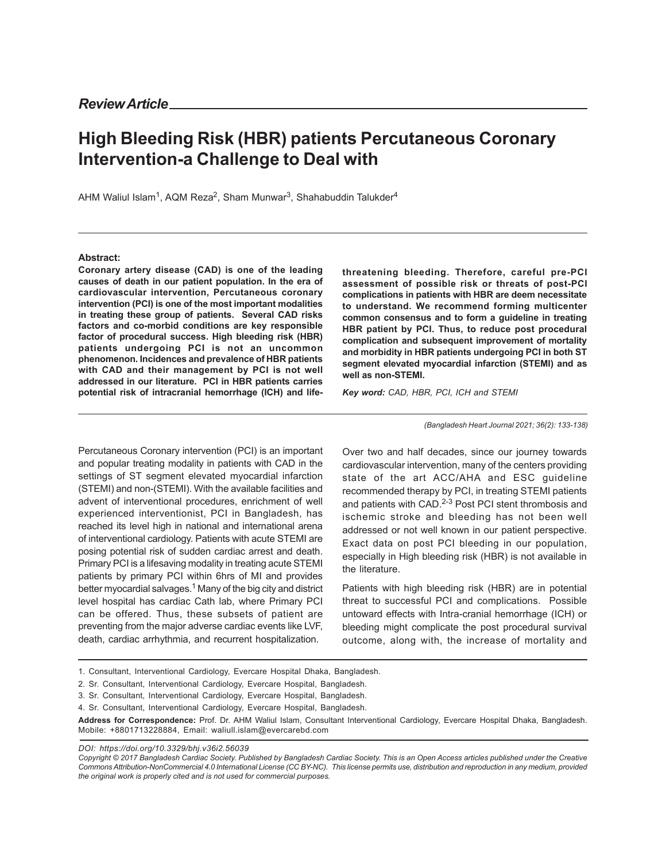## **High Bleeding Risk (HBR) patients Percutaneous Coronary Intervention-a Challenge to Deal with**

AHM Waliul Islam<sup>1</sup>, AQM Reza<sup>2</sup>, Sham Munwar<sup>3</sup>, Shahabuddin Talukder<sup>4</sup>

## **Abstract:**

**Coronary artery disease (CAD) is one of the leading causes of death in our patient population. In the era of cardiovascular intervention, Percutaneous coronary intervention (PCI) is one of the most important modalities in treating these group of patients. Several CAD risks factors and co-morbid conditions are key responsible factor of procedural success. High bleeding risk (HBR) patients undergoing PCI is not an uncommon phenomenon. Incidences and prevalence of HBR patients with CAD and their management by PCI is not well addressed in our literature. PCI in HBR patients carries potential risk of intracranial hemorrhage (ICH) and life-**

**threatening bleeding. Therefore, careful pre-PCI assessment of possible risk or threats of post-PCI complications in patients with HBR are deem necessitate to understand. We recommend forming multicenter common consensus and to form a guideline in treating HBR patient by PCI. Thus, to reduce post procedural complication and subsequent improvement of mortality and morbidity in HBR patients undergoing PCI in both ST segment elevated myocardial infarction (STEMI) and as well as non-STEMI.**

*Key word: CAD, HBR, PCI, ICH and STEMI*

*(Bangladesh Heart Journal 2021; 36(2): 133-138)*

Percutaneous Coronary intervention (PCI) is an important and popular treating modality in patients with CAD in the settings of ST segment elevated myocardial infarction (STEMI) and non-(STEMI). With the available facilities and advent of interventional procedures, enrichment of well experienced interventionist, PCI in Bangladesh, has reached its level high in national and international arena of interventional cardiology. Patients with acute STEMI are posing potential risk of sudden cardiac arrest and death. Primary PCI is a lifesaving modality in treating acute STEMI patients by primary PCI within 6hrs of MI and provides better myocardial salvages.<sup>1</sup> Many of the big city and district level hospital has cardiac Cath lab, where Primary PCI can be offered. Thus, these subsets of patient are preventing from the major adverse cardiac events like LVF, death, cardiac arrhythmia, and recurrent hospitalization.

Over two and half decades, since our journey towards cardiovascular intervention, many of the centers providing state of the art ACC/AHA and ESC guideline recommended therapy by PCI, in treating STEMI patients and patients with CAD.<sup>2-3</sup> Post PCI stent thrombosis and ischemic stroke and bleeding has not been well addressed or not well known in our patient perspective. Exact data on post PCI bleeding in our population, especially in High bleeding risk (HBR) is not available in the literature.

Patients with high bleeding risk (HBR) are in potential threat to successful PCI and complications. Possible untoward effects with Intra-cranial hemorrhage (ICH) or bleeding might complicate the post procedural survival outcome, along with, the increase of mortality and

- 1. Consultant, Interventional Cardiology, Evercare Hospital Dhaka, Bangladesh.
- 2. Sr. Consultant, Interventional Cardiology, Evercare Hospital, Bangladesh.
- 3. Sr. Consultant, Interventional Cardiology, Evercare Hospital, Bangladesh.
- 4. Sr. Consultant, Interventional Cardiology, Evercare Hospital, Bangladesh.

**Address for Correspondence:** Prof. Dr. AHM Waliul Islam, Consultant Interventional Cardiology, Evercare Hospital Dhaka, Bangladesh. Mobile: +8801713228884, Email: waliull.islam@evercarebd.com

*DOI: https://doi.org/10.3329/bhj.v36i2.56039*

*Copyright © 2017 Bangladesh Cardiac Society. Published by Bangladesh Cardiac Society. This is an Open Access articles published under the Creative Commons Attribution-NonCommercial 4.0 International License (CC BY-NC). This license permits use, distribution and reproduction in any medium, provided the original work is properly cited and is not used for commercial purposes.*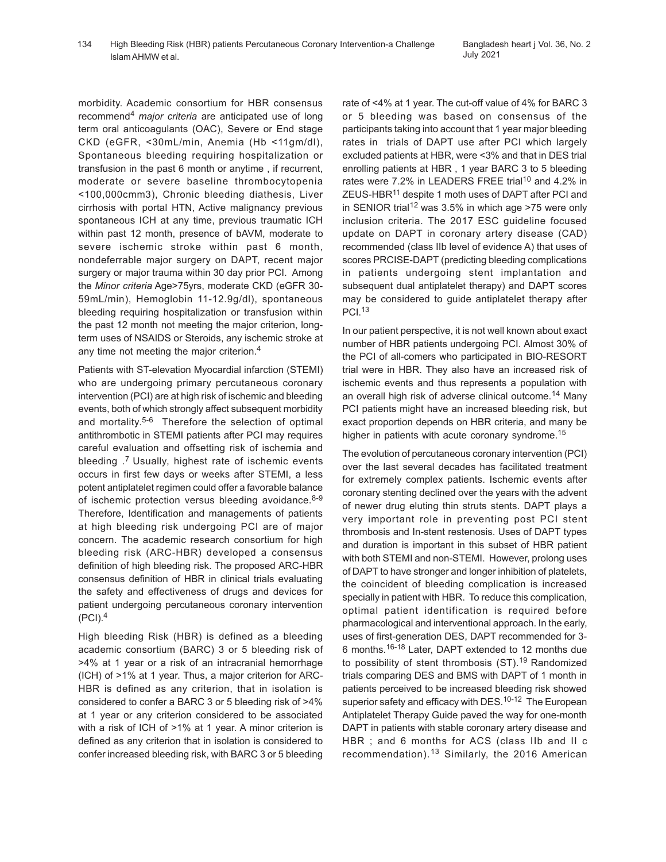morbidity. Academic consortium for HBR consensus recommend<sup>4</sup> *major criteria* are anticipated use of long term oral anticoagulants (OAC), Severe or End stage CKD (eGFR, <30mL/min, Anemia (Hb <11gm/dl), Spontaneous bleeding requiring hospitalization or transfusion in the past 6 month or anytime , if recurrent, moderate or severe baseline thrombocytopenia <100,000cmm3), Chronic bleeding diathesis, Liver cirrhosis with portal HTN, Active malignancy previous spontaneous ICH at any time, previous traumatic ICH within past 12 month, presence of bAVM, moderate to severe ischemic stroke within past 6 month, nondeferrable major surgery on DAPT, recent major surgery or major trauma within 30 day prior PCI. Among the *Minor criteria* Age>75yrs, moderate CKD (eGFR 30- 59mL/min), Hemoglobin 11-12.9g/dl), spontaneous bleeding requiring hospitalization or transfusion within the past 12 month not meeting the major criterion, longterm uses of NSAIDS or Steroids, any ischemic stroke at any time not meeting the major criterion.<sup>4</sup>

Patients with ST-elevation Myocardial infarction (STEMI) who are undergoing primary percutaneous coronary intervention (PCI) are at high risk of ischemic and bleeding events, both of which strongly affect subsequent morbidity and mortality.<sup>5-6</sup> Therefore the selection of optimal antithrombotic in STEMI patients after PCI may requires careful evaluation and offsetting risk of ischemia and bleeding .7 Usually, highest rate of ischemic events occurs in first few days or weeks after STEMI, a less potent antiplatelet regimen could offer a favorable balance of ischemic protection versus bleeding avoidance.<sup>8-9</sup> Therefore, Identification and managements of patients at high bleeding risk undergoing PCI are of major concern. The academic research consortium for high bleeding risk (ARC-HBR) developed a consensus definition of high bleeding risk. The proposed ARC-HBR consensus definition of HBR in clinical trials evaluating the safety and effectiveness of drugs and devices for patient undergoing percutaneous coronary intervention  $(PCI).<sup>4</sup>$ 

High bleeding Risk (HBR) is defined as a bleeding academic consortium (BARC) 3 or 5 bleeding risk of >4% at 1 year or a risk of an intracranial hemorrhage (ICH) of >1% at 1 year. Thus, a major criterion for ARC-HBR is defined as any criterion, that in isolation is considered to confer a BARC 3 or 5 bleeding risk of >4% at 1 year or any criterion considered to be associated with a risk of ICH of >1% at 1 year. A minor criterion is defined as any criterion that in isolation is considered to confer increased bleeding risk, with BARC 3 or 5 bleeding

rate of <4% at 1 year. The cut-off value of 4% for BARC 3 or 5 bleeding was based on consensus of the participants taking into account that 1 year major bleeding rates in trials of DAPT use after PCI which largely excluded patients at HBR, were <3% and that in DES trial enrolling patients at HBR , 1 year BARC 3 to 5 bleeding rates were 7.2% in LEADERS FREE trial<sup>10</sup> and 4.2% in ZEUS-HBR11 despite 1 moth uses of DAPT after PCI and in SENIOR trial<sup>12</sup> was 3.5% in which age  $>75$  were only inclusion criteria. The 2017 ESC guideline focused update on DAPT in coronary artery disease (CAD) recommended (class IIb level of evidence A) that uses of scores PRCISE-DAPT (predicting bleeding complications in patients undergoing stent implantation and subsequent dual antiplatelet therapy) and DAPT scores may be considered to guide antiplatelet therapy after PCI.<sup>13</sup>

In our patient perspective, it is not well known about exact number of HBR patients undergoing PCI. Almost 30% of the PCI of all-comers who participated in BIO-RESORT trial were in HBR. They also have an increased risk of ischemic events and thus represents a population with an overall high risk of adverse clinical outcome.<sup>14</sup> Many PCI patients might have an increased bleeding risk, but exact proportion depends on HBR criteria, and many be higher in patients with acute coronary syndrome.<sup>15</sup>

The evolution of percutaneous coronary intervention (PCI) over the last several decades has facilitated treatment for extremely complex patients. Ischemic events after coronary stenting declined over the years with the advent of newer drug eluting thin struts stents. DAPT plays a very important role in preventing post PCI stent thrombosis and In-stent restenosis. Uses of DAPT types and duration is important in this subset of HBR patient with both STEMI and non-STEMI. However, prolong uses of DAPT to have stronger and longer inhibition of platelets, the coincident of bleeding complication is increased specially in patient with HBR. To reduce this complication, optimal patient identification is required before pharmacological and interventional approach. In the early, uses of first-generation DES, DAPT recommended for 3- 6 months.16-18 Later, DAPT extended to 12 months due to possibility of stent thrombosis (ST).<sup>19</sup> Randomized trials comparing DES and BMS with DAPT of 1 month in patients perceived to be increased bleeding risk showed superior safety and efficacy with DES.<sup>10-12</sup> The European Antiplatelet Therapy Guide paved the way for one-month DAPT in patients with stable coronary artery disease and HBR ; and 6 months for ACS (class IIb and II c recommendation).<sup>13</sup> Similarly, the 2016 American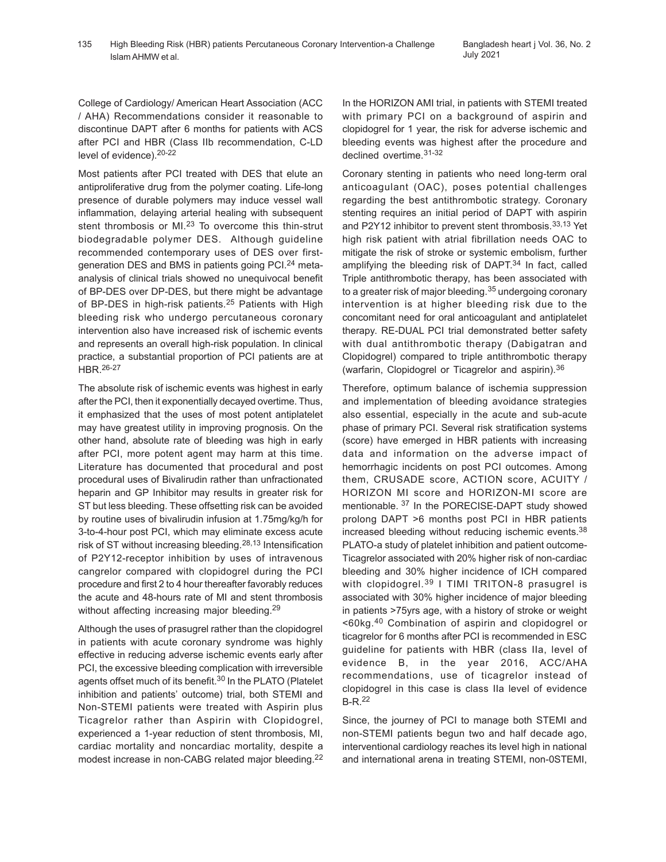College of Cardiology/ American Heart Association (ACC / AHA) Recommendations consider it reasonable to discontinue DAPT after 6 months for patients with ACS after PCI and HBR (Class IIb recommendation, C-LD level of evidence).20-22

Most patients after PCI treated with DES that elute an antiproliferative drug from the polymer coating. Life-long presence of durable polymers may induce vessel wall inflammation, delaying arterial healing with subsequent stent thrombosis or MI.<sup>23</sup> To overcome this thin-strut biodegradable polymer DES. Although guideline recommended contemporary uses of DES over firstgeneration DES and BMS in patients going PCI.24 metaanalysis of clinical trials showed no unequivocal benefit of BP-DES over DP-DES, but there might be advantage of BP-DES in high-risk patients.<sup>25</sup> Patients with High bleeding risk who undergo percutaneous coronary intervention also have increased risk of ischemic events and represents an overall high-risk population. In clinical practice, a substantial proportion of PCI patients are at HBR.26-27

The absolute risk of ischemic events was highest in early after the PCI, then it exponentially decayed overtime. Thus, it emphasized that the uses of most potent antiplatelet may have greatest utility in improving prognosis. On the other hand, absolute rate of bleeding was high in early after PCI, more potent agent may harm at this time. Literature has documented that procedural and post procedural uses of Bivalirudin rather than unfractionated heparin and GP Inhibitor may results in greater risk for ST but less bleeding. These offsetting risk can be avoided by routine uses of bivalirudin infusion at 1.75mg/kg/h for 3-to-4-hour post PCI, which may eliminate excess acute risk of ST without increasing bleeding.<sup>28,13</sup> Intensification of P2Y12-receptor inhibition by uses of intravenous cangrelor compared with clopidogrel during the PCI procedure and first 2 to 4 hour thereafter favorably reduces the acute and 48-hours rate of MI and stent thrombosis without affecting increasing major bleeding.<sup>29</sup>

Although the uses of prasugrel rather than the clopidogrel in patients with acute coronary syndrome was highly effective in reducing adverse ischemic events early after PCI, the excessive bleeding complication with irreversible agents offset much of its benefit.<sup>30</sup> In the PLATO (Platelet inhibition and patients' outcome) trial, both STEMI and Non-STEMI patients were treated with Aspirin plus Ticagrelor rather than Aspirin with Clopidogrel, experienced a 1-year reduction of stent thrombosis, MI, cardiac mortality and noncardiac mortality, despite a modest increase in non-CABG related major bleeding.<sup>22</sup> In the HORIZON AMI trial, in patients with STEMI treated with primary PCI on a background of aspirin and clopidogrel for 1 year, the risk for adverse ischemic and bleeding events was highest after the procedure and declined overtime.31-32

Coronary stenting in patients who need long-term oral anticoagulant (OAC), poses potential challenges regarding the best antithrombotic strategy. Coronary stenting requires an initial period of DAPT with aspirin and P2Y12 inhibitor to prevent stent thrombosis.<sup>33,13</sup> Yet high risk patient with atrial fibrillation needs OAC to mitigate the risk of stroke or systemic embolism, further amplifying the bleeding risk of DAPT.<sup>34</sup> In fact, called Triple antithrombotic therapy, has been associated with to a greater risk of major bleeding.<sup>35</sup> undergoing coronary intervention is at higher bleeding risk due to the concomitant need for oral anticoagulant and antiplatelet therapy. RE-DUAL PCI trial demonstrated better safety with dual antithrombotic therapy (Dabigatran and Clopidogrel) compared to triple antithrombotic therapy (warfarin, Clopidogrel or Ticagrelor and aspirin).<sup>36</sup>

Therefore, optimum balance of ischemia suppression and implementation of bleeding avoidance strategies also essential, especially in the acute and sub-acute phase of primary PCI. Several risk stratification systems (score) have emerged in HBR patients with increasing data and information on the adverse impact of hemorrhagic incidents on post PCI outcomes. Among them, CRUSADE score, ACTION score, ACUITY / HORIZON MI score and HORIZON-MI score are mentionable. 37 In the PORECISE-DAPT study showed prolong DAPT >6 months post PCI in HBR patients increased bleeding without reducing ischemic events.<sup>38</sup> PLATO-a study of platelet inhibition and patient outcome-Ticagrelor associated with 20% higher risk of non-cardiac bleeding and 30% higher incidence of ICH compared with clopidogrel.<sup>39</sup> I TIMI TRITON-8 prasugrel is associated with 30% higher incidence of major bleeding in patients >75yrs age, with a history of stroke or weight <60kg.40 Combination of aspirin and clopidogrel or ticagrelor for 6 months after PCI is recommended in ESC guideline for patients with HBR (class IIa, level of evidence B, in the year 2016, ACC/AHA recommendations, use of ticagrelor instead of clopidogrel in this case is class IIa level of evidence B-R.<sup>22</sup>

Since, the journey of PCI to manage both STEMI and non-STEMI patients begun two and half decade ago, interventional cardiology reaches its level high in national and international arena in treating STEMI, non-0STEMI,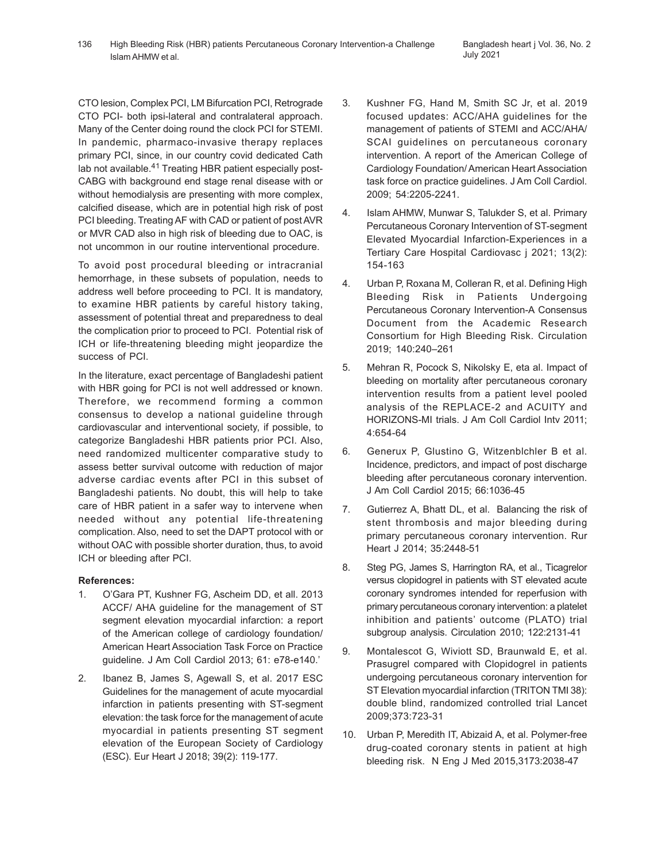CTO lesion, Complex PCI, LM Bifurcation PCI, Retrograde CTO PCI- both ipsi-lateral and contralateral approach. Many of the Center doing round the clock PCI for STEMI. In pandemic, pharmaco-invasive therapy replaces primary PCI, since, in our country covid dedicated Cath lab not available.<sup>41</sup> Treating HBR patient especially post-CABG with background end stage renal disease with or without hemodialysis are presenting with more complex, calcified disease, which are in potential high risk of post PCI bleeding. Treating AF with CAD or patient of post AVR or MVR CAD also in high risk of bleeding due to OAC, is not uncommon in our routine interventional procedure.

To avoid post procedural bleeding or intracranial hemorrhage, in these subsets of population, needs to address well before proceeding to PCI. It is mandatory, to examine HBR patients by careful history taking, assessment of potential threat and preparedness to deal the complication prior to proceed to PCI. Potential risk of ICH or life-threatening bleeding might jeopardize the success of PCI.

In the literature, exact percentage of Bangladeshi patient with HBR going for PCI is not well addressed or known. Therefore, we recommend forming a common consensus to develop a national guideline through cardiovascular and interventional society, if possible, to categorize Bangladeshi HBR patients prior PCI. Also, need randomized multicenter comparative study to assess better survival outcome with reduction of major adverse cardiac events after PCI in this subset of Bangladeshi patients. No doubt, this will help to take care of HBR patient in a safer way to intervene when needed without any potential life-threatening complication. Also, need to set the DAPT protocol with or without OAC with possible shorter duration, thus, to avoid ICH or bleeding after PCI.

## **References:**

- 1. O'Gara PT, Kushner FG, Ascheim DD, et all. 2013 ACCF/ AHA guideline for the management of ST segment elevation myocardial infarction: a report of the American college of cardiology foundation/ American Heart Association Task Force on Practice guideline. J Am Coll Cardiol 2013; 61: e78-e140.'
- 2. Ibanez B, James S, Agewall S, et al. 2017 ESC Guidelines for the management of acute myocardial infarction in patients presenting with ST-segment elevation: the task force for the management of acute myocardial in patients presenting ST segment elevation of the European Society of Cardiology (ESC). Eur Heart J 2018; 39(2): 119-177.
- 3. Kushner FG, Hand M, Smith SC Jr, et al. 2019 focused updates: ACC/AHA guidelines for the management of patients of STEMI and ACC/AHA/ SCAI guidelines on percutaneous coronary intervention. A report of the American College of Cardiology Foundation/ American Heart Association task force on practice guidelines. J Am Coll Cardiol. 2009; 54:2205-2241.
- 4. Islam AHMW, Munwar S, Talukder S, et al. Primary Percutaneous Coronary Intervention of ST-segment Elevated Myocardial Infarction-Experiences in a Tertiary Care Hospital Cardiovasc j 2021; 13(2): 154-163
- 4. Urban P, Roxana M, Colleran R, et al. Defining High Bleeding Risk in Patients Undergoing Percutaneous Coronary Intervention-A Consensus Document from the Academic Research Consortium for High Bleeding Risk. Circulation 2019; 140:240–261
- 5. Mehran R, Pocock S, Nikolsky E, eta al. Impact of bleeding on mortality after percutaneous coronary intervention results from a patient level pooled analysis of the REPLACE-2 and ACUITY and HORIZONS-MI trials. J Am Coll Cardiol Intv 2011; 4:654-64
- 6. Generux P, Glustino G, Witzenblchler B et al. Incidence, predictors, and impact of post discharge bleeding after percutaneous coronary intervention. J Am Coll Cardiol 2015; 66:1036-45
- 7. Gutierrez A, Bhatt DL, et al. Balancing the risk of stent thrombosis and major bleeding during primary percutaneous coronary intervention. Rur Heart J 2014; 35:2448-51
- 8. Steg PG, James S, Harrington RA, et al., Ticagrelor versus clopidogrel in patients with ST elevated acute coronary syndromes intended for reperfusion with primary percutaneous coronary intervention: a platelet inhibition and patients' outcome (PLATO) trial subgroup analysis. Circulation 2010; 122:2131-41
- 9. Montalescot G, Wiviott SD, Braunwald E, et al. Prasugrel compared with Clopidogrel in patients undergoing percutaneous coronary intervention for ST Elevation myocardial infarction (TRITON TMI 38): double blind, randomized controlled trial Lancet 2009;373:723-31
- 10. Urban P, Meredith IT, Abizaid A, et al. Polymer-free drug-coated coronary stents in patient at high bleeding risk. N Eng J Med 2015,3173:2038-47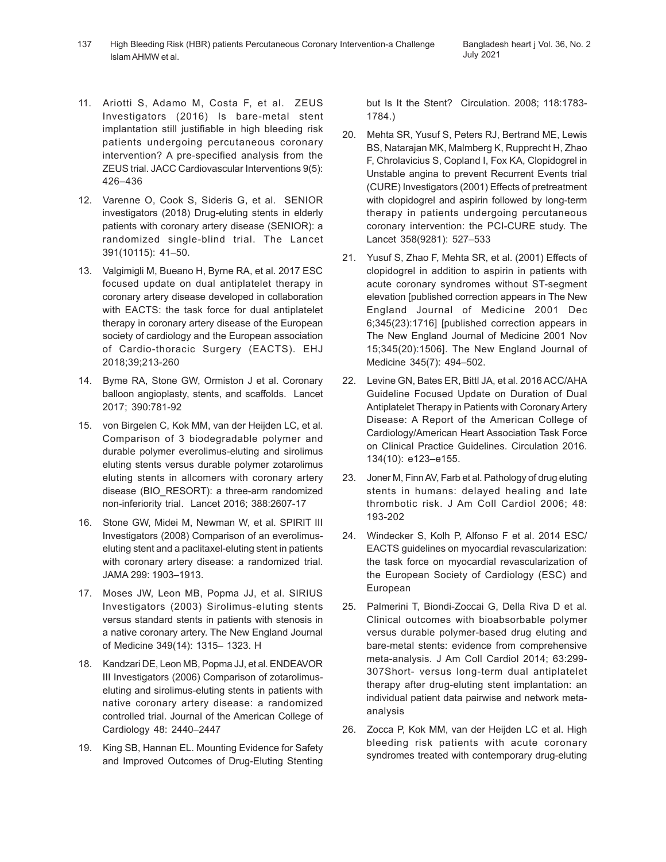- 11. Ariotti S, Adamo M, Costa F, et al. ZEUS Investigators (2016) Is bare-metal stent implantation still justifiable in high bleeding risk patients undergoing percutaneous coronary intervention? A pre-specified analysis from the ZEUS trial. JACC Cardiovascular Interventions 9(5): 426–436
- 12. Varenne O, Cook S, Sideris G, et al. SENIOR investigators (2018) Drug-eluting stents in elderly patients with coronary artery disease (SENIOR): a randomized single-blind trial. The Lancet 391(10115): 41–50.
- 13. Valgimigli M, Bueano H, Byrne RA, et al. 2017 ESC focused update on dual antiplatelet therapy in coronary artery disease developed in collaboration with EACTS: the task force for dual antiplatelet therapy in coronary artery disease of the European society of cardiology and the European association of Cardio-thoracic Surgery (EACTS). EHJ 2018;39;213-260
- 14. Byme RA, Stone GW, Ormiston J et al. Coronary balloon angioplasty, stents, and scaffolds. Lancet 2017; 390:781-92
- 15. von Birgelen C, Kok MM, van der Heijden LC, et al. Comparison of 3 biodegradable polymer and durable polymer everolimus-eluting and sirolimus eluting stents versus durable polymer zotarolimus eluting stents in allcomers with coronary artery disease (BIO\_RESORT): a three-arm randomized non-inferiority trial. Lancet 2016; 388:2607-17
- 16. Stone GW, Midei M, Newman W, et al. SPIRIT III Investigators (2008) Comparison of an everolimuseluting stent and a paclitaxel-eluting stent in patients with coronary artery disease: a randomized trial. JAMA 299: 1903–1913.
- 17. Moses JW, Leon MB, Popma JJ, et al. SIRIUS Investigators (2003) Sirolimus-eluting stents versus standard stents in patients with stenosis in a native coronary artery. The New England Journal of Medicine 349(14): 1315– 1323. H
- 18. Kandzari DE, Leon MB, Popma JJ, et al. ENDEAVOR III Investigators (2006) Comparison of zotarolimuseluting and sirolimus-eluting stents in patients with native coronary artery disease: a randomized controlled trial. Journal of the American College of Cardiology 48: 2440–2447
- 19. King SB, Hannan EL. Mounting Evidence for Safety and Improved Outcomes of Drug-Eluting Stenting

but Is It the Stent? Circulation. 2008; 118:1783- 1784.)

- 20. Mehta SR, Yusuf S, Peters RJ, Bertrand ME, Lewis BS, Natarajan MK, Malmberg K, Rupprecht H, Zhao F, Chrolavicius S, Copland I, Fox KA, Clopidogrel in Unstable angina to prevent Recurrent Events trial (CURE) Investigators (2001) Effects of pretreatment with clopidogrel and aspirin followed by long-term therapy in patients undergoing percutaneous coronary intervention: the PCI-CURE study. The Lancet 358(9281): 527–533
- 21. Yusuf S, Zhao F, Mehta SR, et al. (2001) Effects of clopidogrel in addition to aspirin in patients with acute coronary syndromes without ST-segment elevation [published correction appears in The New England Journal of Medicine 2001 Dec 6;345(23):1716] [published correction appears in The New England Journal of Medicine 2001 Nov 15;345(20):1506]. The New England Journal of Medicine 345(7): 494–502.
- 22. Levine GN, Bates ER, Bittl JA, et al. 2016 ACC/AHA Guideline Focused Update on Duration of Dual Antiplatelet Therapy in Patients with Coronary Artery Disease: A Report of the American College of Cardiology/American Heart Association Task Force on Clinical Practice Guidelines. Circulation 2016. 134(10): e123–e155.
- 23. Joner M, Finn AV, Farb et al. Pathology of drug eluting stents in humans: delayed healing and late thrombotic risk. J Am Coll Cardiol 2006; 48: 193-202
- 24. Windecker S, Kolh P, Alfonso F et al. 2014 ESC/ EACTS guidelines on myocardial revascularization: the task force on myocardial revascularization of the European Society of Cardiology (ESC) and European
- 25. Palmerini T, Biondi-Zoccai G, Della Riva D et al. Clinical outcomes with bioabsorbable polymer versus durable polymer-based drug eluting and bare-metal stents: evidence from comprehensive meta-analysis. J Am Coll Cardiol 2014; 63:299- 307Short- versus long-term dual antiplatelet therapy after drug-eluting stent implantation: an individual patient data pairwise and network metaanalysis
- 26. Zocca P, Kok MM, van der Heijden LC et al. High bleeding risk patients with acute coronary syndromes treated with contemporary drug-eluting